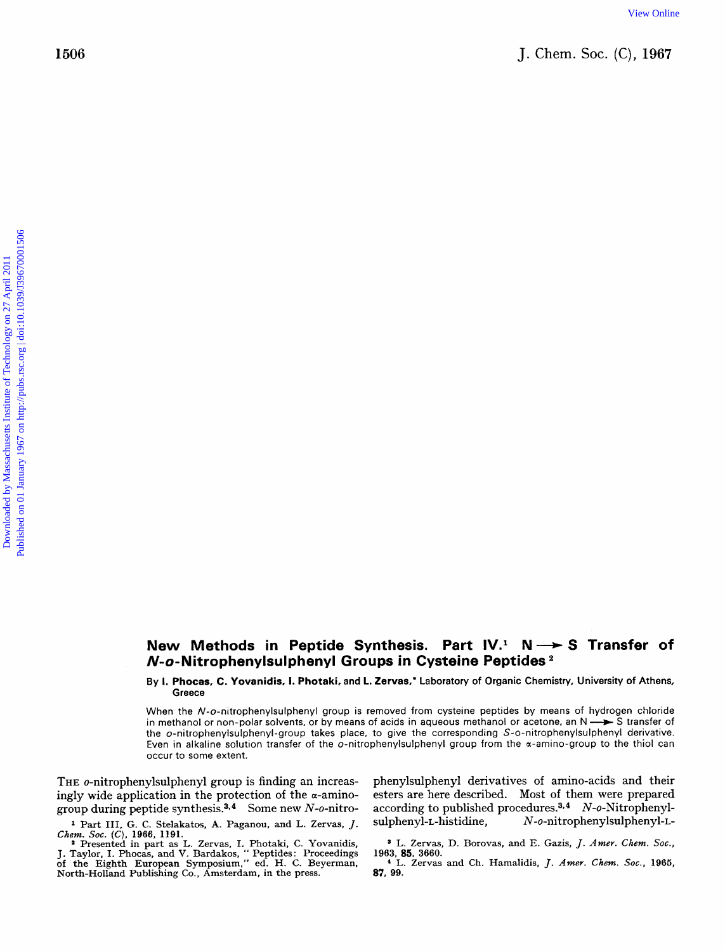## **New Methods in Peptide Synthesis. Part IV.<sup>1</sup> N-> S Transfer of N-o-Nitrophenylsulphenyl Groups in Cysteine Peptides**

**By I. Phocas, C. Yovanidis, I. Photaki, and L. Zervas,'** Laboratory **of** Organic Chemistry, University **of** Athens, Greece

When the N-o-nitrophenylsulphenyl group is removed from cysteine peptides **by** means of hydrogen chloride in methanol or non-polar solvents, or by means of acids in aqueous methanol or acetone, an N  $\rightarrow$  S transfer of the o-nitrophenylsulphenyl-group takes place, to give the corresponding S-o-nitrophenylsulphenyl derivative. Even in alkaline solution transfer of the o-nitrophenylsulphenyl group from the a-amino-group to the thiol can occur to some extent.

**THE** o-nitrophenylsulphenyl group is finding an increasingly wide application in the protection of the  $\alpha$ -aminogroup during peptide synthesis. $3,4$  Some new N-o-nitro-

<sup>1</sup> Part III, G. C. Stelakatos, A. Paganou, and L. Zervas, J. Chem. Soc. (C), 1966, 1191. Chem. *SOC.* **(C). 1966, 1191.** \* Presented in part as L. Zervas, I. Photaki, C. Yovanidis,

Fresented in part as L. Zervas, 1. Photaki, C. Yovanidis, J. Taylor, I. Phocas, and V. Bardakos, '' Peptides: Proceedings of the Eighth European Symposium,'' ed. H. C. Beyerman, North-Holland Publishing Co., Amsterdam, in

phenylsulphenyl derivatives of amino-acids and their esters are here described. Most of them were prepared according to published procedures.<sup>3,4</sup>  $N$ -o-Nitrophenylsulphenyl-L-histidine, **N-o-nitrophenylsulphenyl-L-**

*<sup>8</sup>*L. Zervas, D. Borovas, and E. Gazis, J. *Amer.* Chem. *SOC.,*  **1963, 85. 3660.** 

**<sup>4</sup>L.** Zervas and Ch. Hamalidis, J. Amer. Chem. *Soc.,* **1965, 87, 99.**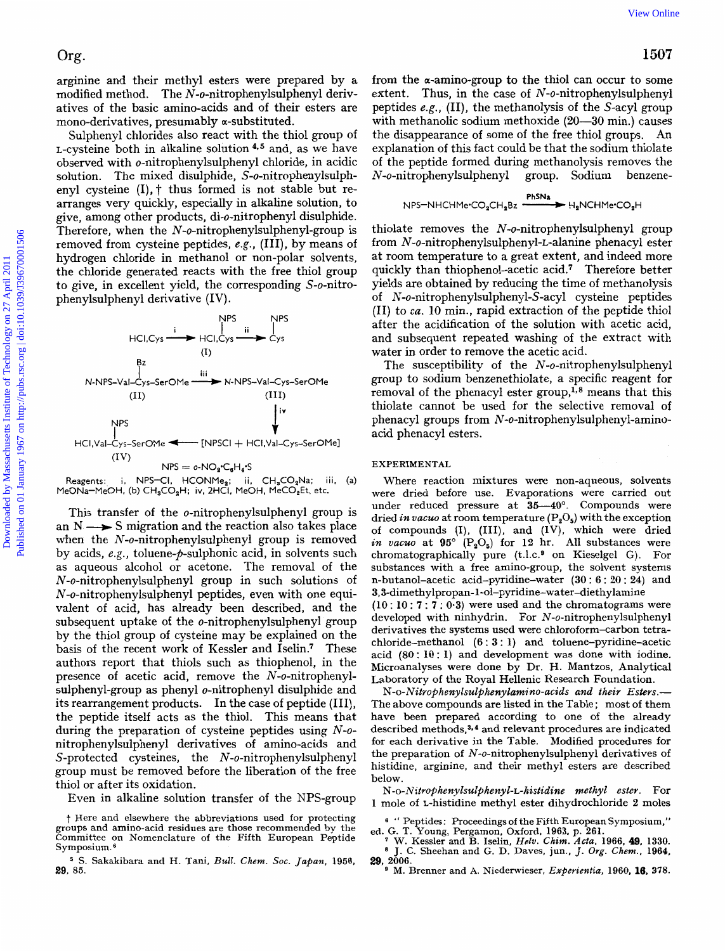arginine and their methyl esters were prepared by **a**  modified method. The N-o-nitrophenylsulphenyl derivatives of the basic amino-acids and of their esters are mono-derivatives, presumably a-substituted.

Sulphenyl chlorides also react with the thiol group of L-cysteine both in alkaline solution  $4.5$  and, as we have observed with o-nitrophenylsulphenyl chloride, in acidic solution. The mixed disulphide, S-o-nitrophenylsulphenyl cysteine  $(I)$ ,  $\uparrow$  thus formed is not stable but rearranges very quickly, especially in alkaline solution, to give, among other products, di-o-nitrophenyl disulphide. Therefore, when the **N-o-nitrophenylsulphenyl-group** is removed from cysteine peptides, *e.g.,* (111), by means of hydrogen chloride in methanol or non-polar solvents, the chloride generated reacts with the free thiol group to give, in excellent yield, the corresponding S-o-nitrophenylsulphenyl derivative (IV) . Org.<br>
argumine and their methyl esters were prepared by a from the scanino-group to the this<br>desirable and control on the mass cannot desirable entity. (II), the methanology of the<br>Sachington and the control on the mass a



Reagents: i, NPS-CI, HCONMe<sub>2</sub>; ii, CH<sub>3</sub>CO<sub>2</sub>Na; iii, (a) MeONa-MeOH, **(b)** CH,CO,H; **iv,** 2HCI. MeOH, MeCO,Et, etc.

This transfer of the o-nitrophenylsulphenyl group is an  $N \longrightarrow S$  migration and the reaction also takes place when the **N-o-nitrophenylsulphenyl** group is removed by acids, *e.g.*, toluene-*p*-sulphonic acid, in solvents such as aqueous alcohol or acetone. The removal of the **N-o-nitrophenylsulphenyl** group in such solutions of **N-o-nitrophenylsulphenyl** peptides, even with one equivalent of acid, has already been described, and the subsequent uptake of the o-nitrophenylsulphenyl group by the thiol group of cysteine may be explained on the basis of the recent work of Kessler and Iselin.' These authors report that thiols such as thiophenol, in the presence of acetic acid, remove the N-o-nitrophenylsulphenyl-group as phenyl o-nitrophenyl disulphide and its rearrangement products. In the case of peptide (111), the peptide itself acts as the thiol. This means that during the preparation of cysteine peptides using *N-o*nitrophenylsulphenyl derivatives of amino-acids and S-protected cysteines, the *N*-o-nitrophenylsulphenyl group must be removed before the liberation of the free thiol or after its oxidation.

Even in alkaline solution transfer of the NPS-group

from the  $\alpha$ -amino-group to the thiol can occur to some extent. Thus, in the case of **N-o-nitrophenylsulphenyl**  peptides *e.g.,* (11), the methanolysis of the S-acyl group with methanolic sodium methoxide **(20-30** min.) causes the disappearance of some of the free thiol groups. An explanation of this fact could be that the sodium thiolate of the peptide formed during methanolysis removes the **N-o-nitrophenylsulphenyl** group. Sodium benzene-

$$
NPS-NHCHMe \cdot CO_2CH_2Bz \xrightarrow{PhysNa} H_2NCHMe \cdot CO_2H
$$

thiolate removes the  $N$ -o-nitrophenylsulphenyl group from **N-o-nitrophenylsulphenyl-L-alanine** phenacyl ester at room temperature to a great extent, and indeed more quickly than thiophenol-acetic acid.<sup>7</sup> Therefore better yields are obtained by reducing the time of methanolysis of **N-o-nitrophenylsulphenyl-S-acyl** cysteine peptides (11) to *ca.* **10** min., rapid extraction of the peptide thiol after the acidification of the solution with acetic acid, and subsequent repeated washing of the extract with water in order to remove the acetic acid.

The susceptibility of the **N-o-nitrophenylsulphenyl**  group to sodium benzenethiolate, a specific reagent for removal of the phenacyl ester group,<sup> $1,8$ </sup> means that this thiolate cannot be used for the selective removal of phenacyl groups from **N-o-nitrophenylsulphenyl-amino**acid phenacyl esters.

## **EXPERIMENTAL**

Where reaction mixtures were non-aqueous, solvents were dried before use. Evaporations were carried out under reduced pressure at 35-40°. Compounds were dried *in vacuo* at room temperature  $(P_2O_5)$  with the exception of compounds (I), (111), and (IV), which were dried *in vacuo* at  $95^\circ$   $(P_2O_5)$  for 12 hr. All substances were chromatographically pure (t.l.c.<sup>9</sup> on Kieselgel G). For substances with a free amino-group, the solvent systems n-butanol-acetic acid-pyridine-water (30 : **6** : **20** : 24) and 3,3-dimethylpropan- **1-ol-pyridine-water-diethylamine** 

**(10** : **10** : **7** : **7** : 0.3) were used and the chromatograms were developed with ninhydrin. For **N-o-nitrophenylsulphenyl**  derivatives the systems used were chloroform-carbon tetrachloride-methanol **(6** : 3 : 1) and toluene-pyridine-acetic acid **(80:** 10: 1) and development was done with iodine. Microanalyses were done **by** Dr. H. Mantzos, Analytical Laboratory of the Royal Hellenic Research Foundation.

*N-o-Nitrophenylsulphenylamino-acids and their Esters.-*  The above compounds are listed in the Table ; most of them have been prepared according to one of the already described methods.<sup>3,4</sup> and relevant procedures are indicated for each derivative in the Table. Modified procedures for the preparation **of N-o-nitrophenylsulphenyl** derivatives of histidine, arginine, and their methyl esters are described below.

N-o- *Nitrophenylsulphenyl-L-histidine methyl ester.* For **1** mole of L-histidine methyl ester dihydrochloride 2 moles

t Here and elsewhere the abbreviations used for protecting groups and amino-acid residues are those recommended by the Committee on Nomenclature of the Fifth European Peptide Symposium. *<sup>6</sup>*

S. Sakakibara and H. Tani, Bull. *Chem. SOC. Japan,* **1956, 29,** *55.* 

<sup>&</sup>lt;sup>6</sup> " Peptides: Proceedings of the Fifth European Symposium,"

ed. G. T. Young, Pergamon, Oxford, 1963, p. 261.<br>
<sup>7</sup> W. Kessler and B. Iselin, *Helv. Chim. Acta*, 1966, **49**, 1330.<br>
<sup>8</sup> J. C. Sheehan and G. D. Daves, jun., *J. Org. Chem.*, 1964,

M. Brenner and A. Niederwieser, *Experientia,* **1960, 16,** *378. 29,* **2006.**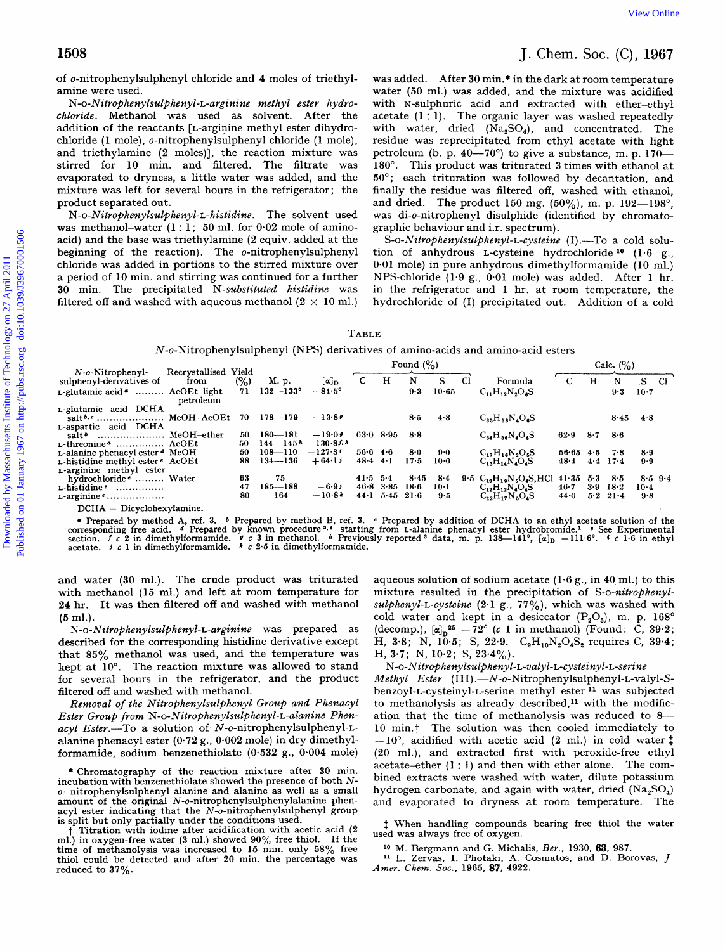## **1508** J. Chem. *SOC.* (C), **1967**

## TABLE

| 1508                                                                                                                                                                                                                                                                                                                                                                                                                                                                                                                                                                                                                                                                                                                                                                                                               |                                                                                 |                                   |                                          |                 |                                                                                                                                                                                                                                                                                                                                                                                                                                                                                                                                                                                                                                                                                                                                                                                                                                                                   |         |                     |     |                    | J. Chem. Soc. $(C)$ , 1967 |
|--------------------------------------------------------------------------------------------------------------------------------------------------------------------------------------------------------------------------------------------------------------------------------------------------------------------------------------------------------------------------------------------------------------------------------------------------------------------------------------------------------------------------------------------------------------------------------------------------------------------------------------------------------------------------------------------------------------------------------------------------------------------------------------------------------------------|---------------------------------------------------------------------------------|-----------------------------------|------------------------------------------|-----------------|-------------------------------------------------------------------------------------------------------------------------------------------------------------------------------------------------------------------------------------------------------------------------------------------------------------------------------------------------------------------------------------------------------------------------------------------------------------------------------------------------------------------------------------------------------------------------------------------------------------------------------------------------------------------------------------------------------------------------------------------------------------------------------------------------------------------------------------------------------------------|---------|---------------------|-----|--------------------|----------------------------|
| of <i>o</i> -nitrophenylsulphenyl chloride and 4 moles of triethyl-<br>amine were used.<br>N-o-Nitrophenylsulphenyl-L-arginine methyl ester hydro-<br>chloride. Methanol was used as solvent. After the<br>addition of the reactants [L-arginine methyl ester dihydro-<br>chloride (1 mole), o-nitrophenylsulphenyl chloride (1 mole),<br>and triethylamine (2 moles)], the reaction mixture was<br>stirred for 10 min. and filtered. The filtrate was<br>evaporated to dryness, a little water was added, and the<br>mixture was left for several hours in the refrigerator; the<br>product separated out.<br>N-o-Nitrophenylsulphenyl-L-histidine. The solvent used<br>was methanol-water $(1:1; 50 \text{ ml.}$ for $0.02 \text{ mole of amino}$<br>acid) and the base was triethylamine (2 equiv. added at the |                                                                                 |                                   |                                          |                 | was added. After 30 min. <sup>*</sup> in the dark at room temperature<br>water (50 ml.) was added, and the mixture was acidified<br>with N-sulphuric acid and extracted with ether-ethyl<br>acetate $(1:1)$ . The organic layer was washed repeatedly<br>with water, dried $(Na2SO4)$ , and concentrated. The<br>residue was reprecipitated from ethyl acetate with light<br>petroleum (b. p. 40—70°) to give a substance, m. p. 170—<br>180°. This product was triturated 3 times with ethanol at<br>50°; each trituration was followed by decantation, and<br>finally the residue was filtered off, washed with ethanol,<br>and dried. The product 150 mg. $(50\%)$ , m. p. 192-198°,<br>was di- <i>o</i> -nitrophenyl disulphide (identified by chromato-<br>graphic behaviour and i.r. spectrum).<br>S-o-Nitrophenylsulphenyl-L-cysteine (I).-To a cold solu- |         |                     |     |                    |                            |
| beginning of the reaction). The $o$ -nitrophenylsulphenyl<br>chloride was added in portions to the stirred mixture over<br>a period of 10 min. and stirring was continued for a further<br>30 min. The precipitated N-substituted histidine was<br>filtered off and washed with aqueous methanol $(2 \times 10 \text{ ml.})$                                                                                                                                                                                                                                                                                                                                                                                                                                                                                       |                                                                                 | <b>TABLE</b>                      |                                          |                 | tion of anhydrous L-cysteine hydrochloride <sup>10</sup> (1.6 g.,<br>0.01 mole) in pure anhydrous dimethylformamide (10 ml.)<br>NPS-chloride (1.9 g., 0.01 mole) was added. After 1 hr.<br>in the refrigerator and 1 hr. at room temperature, the<br>hydrochloride of (I) precipitated out. Addition of a cold                                                                                                                                                                                                                                                                                                                                                                                                                                                                                                                                                    |         |                     |     |                    |                            |
|                                                                                                                                                                                                                                                                                                                                                                                                                                                                                                                                                                                                                                                                                                                                                                                                                    | N-o-Nitrophenylsulphenyl (NPS) derivatives of amino-acids and amino-acid esters |                                   |                                          |                 |                                                                                                                                                                                                                                                                                                                                                                                                                                                                                                                                                                                                                                                                                                                                                                                                                                                                   |         |                     |     |                    |                            |
| Recrystallised Yield<br>$N$ -o-Nitrophenyl-<br>sulphenyl-derivatives of<br>from                                                                                                                                                                                                                                                                                                                                                                                                                                                                                                                                                                                                                                                                                                                                    | (%)<br>M. p.                                                                    | $\mathbf c$<br>$[\alpha]_{\rm D}$ | Found $(\% )$<br>${\bf N}$<br>H          | S               | C1                                                                                                                                                                                                                                                                                                                                                                                                                                                                                                                                                                                                                                                                                                                                                                                                                                                                | Formula | $\mathbf C$         | H   | Calc. $(\% )$<br>N | S<br>Cl.                   |
| $L$ -glutamic acid $\bullet$ AcOEt-light<br>petroleum                                                                                                                                                                                                                                                                                                                                                                                                                                                                                                                                                                                                                                                                                                                                                              | $132 - 133^{\circ}$<br>71                                                       | $-84.5^\circ$                     | 9.3                                      | 10.65           | $C_{11}H_{12}N_2O_6S$                                                                                                                                                                                                                                                                                                                                                                                                                                                                                                                                                                                                                                                                                                                                                                                                                                             |         |                     |     | 9.3                | $10-7$                     |
| L-glutamic acid DCHA<br>saltb, a  MeOH-AcOEt 70 178-179                                                                                                                                                                                                                                                                                                                                                                                                                                                                                                                                                                                                                                                                                                                                                            |                                                                                 | $-13.89$                          | 8.5                                      | 4.8             | $C_{35}H_{58}N_4O_6S$                                                                                                                                                                                                                                                                                                                                                                                                                                                                                                                                                                                                                                                                                                                                                                                                                                             |         |                     |     | 8.45               | 4.8                        |
| salt <sup>b</sup> MeOH-ether                                                                                                                                                                                                                                                                                                                                                                                                                                                                                                                                                                                                                                                                                                                                                                                       | 50<br>$180 - 181$                                                               | $-19.09$                          | $63.0$ $8.95$<br>8.8                     |                 | $\rm C_{34}H_{56}N_4O_6S$                                                                                                                                                                                                                                                                                                                                                                                                                                                                                                                                                                                                                                                                                                                                                                                                                                         |         | 62.9                | 8.7 | 8.6                |                            |
| L-aspartic acid DCHA<br>$L$ -threonine $\alpha$ AcOEt<br><b>L-alanine phenacylester d</b> MeOH<br>L-histidine methyl ester * AcOEt<br>L-arginine methyl ester                                                                                                                                                                                                                                                                                                                                                                                                                                                                                                                                                                                                                                                      | $144 - 145h - 130.8f h$<br>50.<br>50<br>$108 - 110$<br>88<br>$134 - 136$        | $-127.3i$<br>$+64.1j$             | 56.64.6<br>$8-0$<br>$48.4 + 1$<br>$17-5$ | $9-0$<br>$10-0$ | $C_{12}H_{16}N_2O_5S$<br>$C_{13}H_{14}N_4O_4S$                                                                                                                                                                                                                                                                                                                                                                                                                                                                                                                                                                                                                                                                                                                                                                                                                    |         | $56.65$ 4.5<br>48.4 | 4.4 | 7.8<br>$17 - 4$    | 8.9<br>9.9                 |

and water **(30** ml.). The crude product was triturated with methanol **(15** ml.) and left at room temperature for **24** hr. It was then filtered off and washed with methanol *(5* ml.).

*N-o-Nitrophenylsulphenyl-L-arginine* was prepared as described for the corresponding histidine derivative except that *85%* methanol was used, and the temperature was kept at **10'.** The reaction mixture was allowed to stand for several hours in the refrigerator, and the product filtered off and washed with methanol.

Removal of the Nitrophenylsulphenyl Group and Phenacyl Ester Group from N-o- *Nitrophenylsulphenyl-L-alanine* Phenacyl Ester.-To a solution of **N-o-nitrophenylsulphenyl-L**alanine phenacyl ester **(0.72** g., **0.002** mole) in dry dimethylformamide, sodium benzenethiolate **(0.532** g., **0.004** mole)

Titration with iodine after acidification with acetic acid (2 ml.) in oxygen-free water **(3** ml.) showed **90%** free thiol. If the time of methanolysis was increased to **15** min. only **58%** free thiol could be detected and after **20** min. the percentage was reduced to **37** *yo.* 

aqueous solution **of** sodium acetate **(1.6** g., in **40** ml.) to this mixture resulted in the precipitation of S-o-nitrophenyl- $\textit{subhenyl-L-cysteine}$  (2.1 g., 77%), which was washed with cold water and kept in a desiccator  $(P_2O_5)$ , m. p. 168° (decomp.),  $[\alpha]_n^{25} -72^{\circ}$  (c 1 in methanol) (Found: C, 39.2; H, 3.8; N, 10.5; S, 22.9.  $C_9H_{10}N_2O_4S_2$  requires C, 39.4; H, **3.7;** N, **10.2;** S, **23.4%).** 

Methyl Ester (III).-N-o-Nitrophenylsulphenyl-L-valyl-Sbenzoyl-L-cysteinyl-L-serine methyl ester **l1** was subjected to methanolysis as already described, $<sup>11</sup>$  with the modific-</sup> ation that the time of methanolysis was reduced to 8--**10** min.7 The solution was then cooled immediately to  $-10^{\circ}$ , acidified with acetic acid (2 ml.) in cold water  $\ddagger$ **(20** ml.), and extracted first with peroxide-free ethyl acetate-ether **(1** : **1)** and then with ether alone. The combined extracts were washed with water, dilute potassium hydrogen carbonate, and again with water, dried  $(Na_2SO_4)$ and evaporated to dryness at room temperature. The N-o- Nitrophenylsulp henyl- L-valy *l-* L-cysteinyl- L-serine

1 When handling compounds bearing free thiol the water used was always free of oxygen.

**lo** M. Bergmann and G. Michalis, *Bey.,* **1930, 63, 987.** 

**l1 L.** Zervas, I. Photaki, A. Cosmatos, and D. Borovas, J. *Amer. Chem. SOC.,* **1965, 87, 4922.** 

<sup>\*</sup> Chromatography of the reaction mixture after 30 mjn. incubation with benzenethiolate showed the presence of both  $N$ **o-** nitrophenylsulphenyl alanine and alanine as well as a small amount of the original **N-o-nitrophenylsulphenylalanine** phenacyl ester indicating that the **N-o-nitrophenylsulphenyl** group is split but only partially under the conditions used.